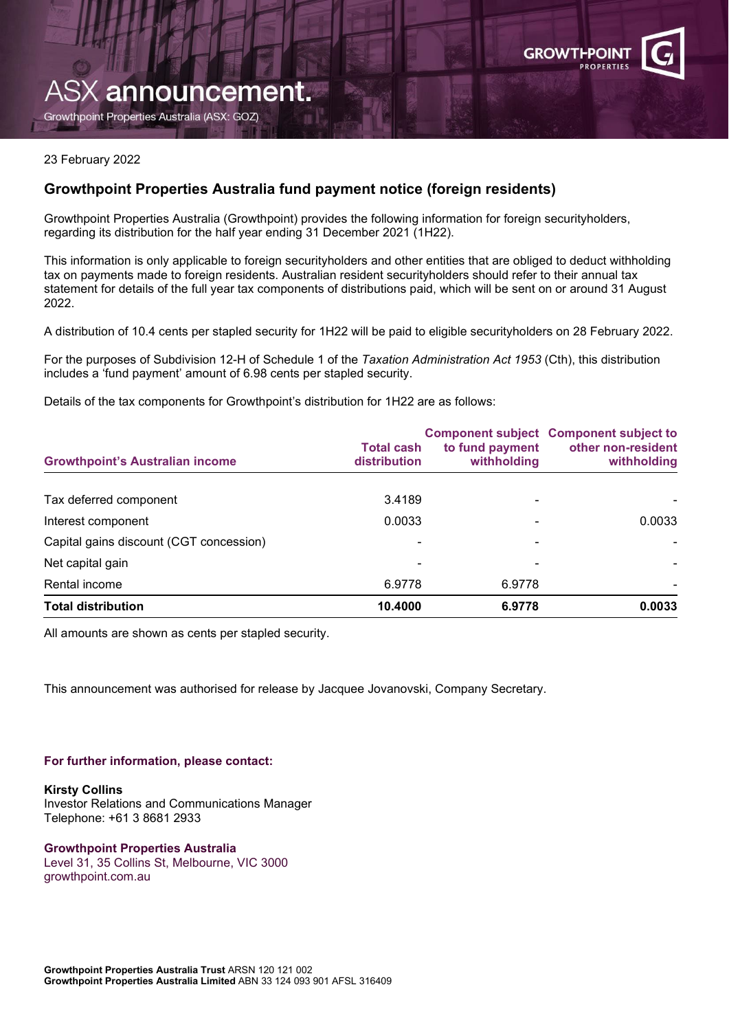

# ASX announcement.

Growthpoint Properties Australia (ASX: GOZ)

### 23 February 2022

# **Growthpoint Properties Australia fund payment notice (foreign residents)**

Growthpoint Properties Australia (Growthpoint) provides the following information for foreign securityholders, regarding its distribution for the half year ending 31 December 2021 (1H22).

This information is only applicable to foreign securityholders and other entities that are obliged to deduct withholding tax on payments made to foreign residents. Australian resident securityholders should refer to their annual tax statement for details of the full year tax components of distributions paid, which will be sent on or around 31 August 2022.

A distribution of 10.4 cents per stapled security for 1H22 will be paid to eligible securityholders on 28 February 2022.

For the purposes of Subdivision 12-H of Schedule 1 of the *Taxation Administration Act 1953* (Cth), this distribution includes a 'fund payment' amount of 6.98 cents per stapled security.

Details of the tax components for Growthpoint's distribution for 1H22 are as follows:

| <b>Growthpoint's Australian income</b>  | <b>Total cash</b><br>distribution | to fund payment<br>withholding | <b>Component subject Component subject to</b><br>other non-resident<br>withholding |
|-----------------------------------------|-----------------------------------|--------------------------------|------------------------------------------------------------------------------------|
| Tax deferred component                  | 3.4189                            |                                |                                                                                    |
| Interest component                      | 0.0033                            |                                | 0.0033                                                                             |
| Capital gains discount (CGT concession) |                                   |                                |                                                                                    |
| Net capital gain                        |                                   |                                |                                                                                    |
| Rental income                           | 6.9778                            | 6.9778                         |                                                                                    |
| <b>Total distribution</b>               | 10.4000                           | 6.9778                         | 0.0033                                                                             |

All amounts are shown as cents per stapled security.

This announcement was authorised for release by Jacquee Jovanovski, Company Secretary.

#### **For further information, please contact:**

**Kirsty Collins** Investor Relations and Communications Manager Telephone: +61 3 8681 2933

**Growthpoint Properties Australia** Level 31, 35 Collins St, Melbourne, VIC 3000 growthpoint.com.au